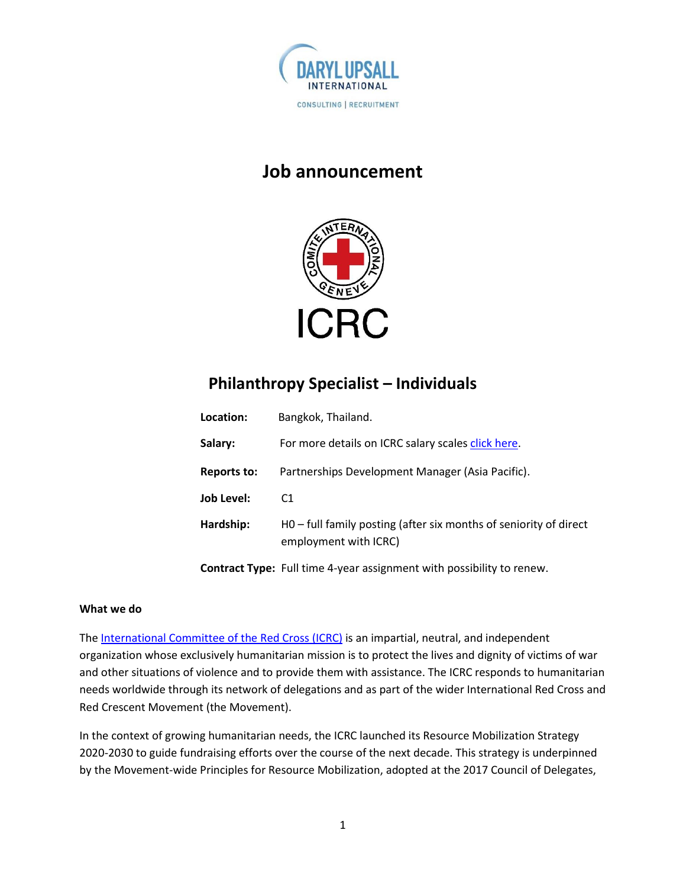

# **Job announcement**



# **Philanthropy Specialist – Individuals**

| Location:          | Bangkok, Thailand.                                                                         |
|--------------------|--------------------------------------------------------------------------------------------|
| Salary:            | For more details on ICRC salary scales click here.                                         |
| <b>Reports to:</b> | Partnerships Development Manager (Asia Pacific).                                           |
| <b>Job Level:</b>  | C <sub>1</sub>                                                                             |
| Hardship:          | H0 - full family posting (after six months of seniority of direct<br>employment with ICRC) |
|                    |                                                                                            |

**Contract Type:** Full time 4-year assignment with possibility to renew.

### **What we do**

The [International Committee of the Red Cross \(ICRC\)](https://www.icrc.org/en) is an impartial, neutral, and independent organization whose exclusively humanitarian mission is to protect the lives and dignity of victims of war and other situations of violence and to provide them with assistance. The ICRC responds to humanitarian needs worldwide through its network of delegations and as part of the wider International Red Cross and Red Crescent Movement (the Movement).

In the context of growing humanitarian needs, the ICRC launched its Resource Mobilization Strategy 2020-2030 to guide fundraising efforts over the course of the next decade. This strategy is underpinned by the Movement-wide Principles for Resource Mobilization, adopted at the 2017 Council of Delegates,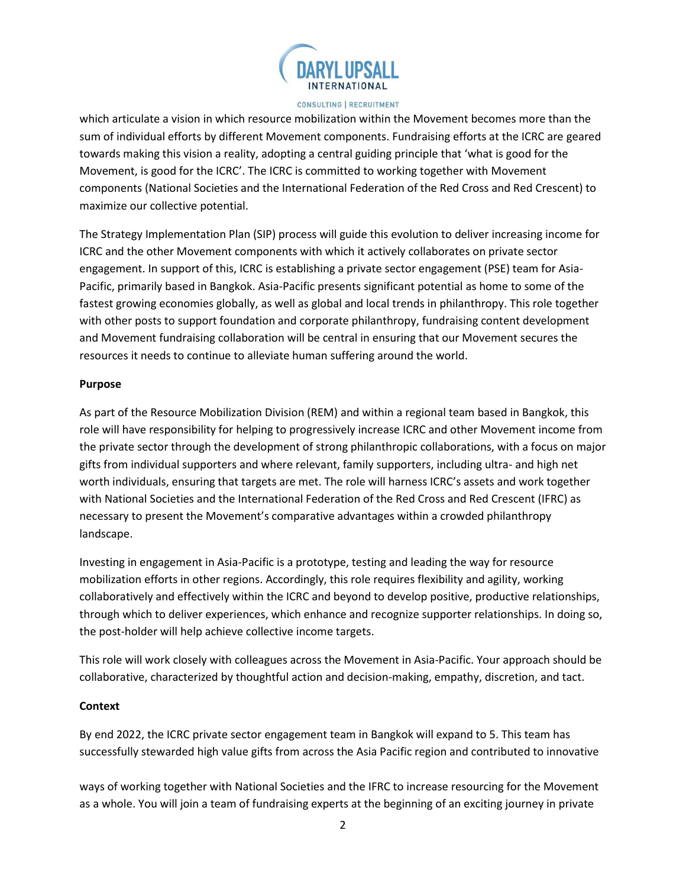

which articulate a vision in which resource mobilization within the Movement becomes more than the sum of individual efforts by different Movement components. Fundraising efforts at the ICRC are geared towards making this vision a reality, adopting a central guiding principle that 'what is good for the Movement, is good for the ICRC'. The ICRC is committed to working together with Movement components (National Societies and the International Federation of the Red Cross and Red Crescent) to maximize our collective potential.

The Strategy Implementation Plan (SIP) process will guide this evolution to deliver increasing income for ICRC and the other Movement components with which it actively collaborates on private sector engagement. In support of this, ICRC is establishing a private sector engagement (PSE) team for Asia-Pacific, primarily based in Bangkok. Asia-Pacific presents significant potential as home to some of the fastest growing economies globally, as well as global and local trends in philanthropy. This role together with other posts to support foundation and corporate philanthropy, fundraising content development and Movement fundraising collaboration will be central in ensuring that our Movement secures the resources it needs to continue to alleviate human suffering around the world.

#### **Purpose**

As part of the Resource Mobilization Division (REM) and within a regional team based in Bangkok, this role will have responsibility for helping to progressively increase ICRC and other Movement income from the private sector through the development of strong philanthropic collaborations, with a focus on major gifts from individual supporters and where relevant, family supporters, including ultra- and high net worth individuals, ensuring that targets are met. The role will harness ICRC's assets and work together with National Societies and the International Federation of the Red Cross and Red Crescent (IFRC) as necessary to present the Movement's comparative advantages within a crowded philanthropy landscape.

Investing in engagement in Asia-Pacific is a prototype, testing and leading the way for resource mobilization efforts in other regions. Accordingly, this role requires flexibility and agility, working collaboratively and effectively within the ICRC and beyond to develop positive, productive relationships, through which to deliver experiences, which enhance and recognize supporter relationships. In doing so, the post-holder will help achieve collective income targets.

This role will work closely with colleagues across the Movement in Asia-Pacific. Your approach should be collaborative, characterized by thoughtful action and decision-making, empathy, discretion, and tact.

### **Context**

By end 2022, the ICRC private sector engagement team in Bangkok will expand to 5. This team has successfully stewarded high value gifts from across the Asia Pacific region and contributed to innovative

ways of working together with National Societies and the IFRC to increase resourcing for the Movement as a whole. You will join a team of fundraising experts at the beginning of an exciting journey in private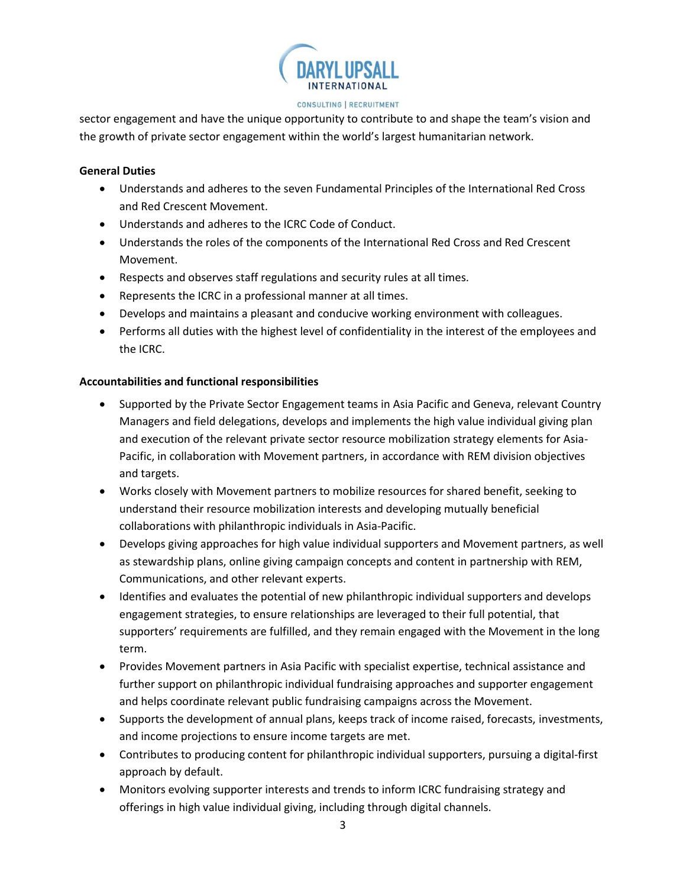

sector engagement and have the unique opportunity to contribute to and shape the team's vision and the growth of private sector engagement within the world's largest humanitarian network.

#### **General Duties**

- Understands and adheres to the seven Fundamental Principles of the International Red Cross and Red Crescent Movement.
- Understands and adheres to the ICRC Code of Conduct.
- Understands the roles of the components of the International Red Cross and Red Crescent Movement.
- Respects and observes staff regulations and security rules at all times.
- Represents the ICRC in a professional manner at all times.
- Develops and maintains a pleasant and conducive working environment with colleagues.
- Performs all duties with the highest level of confidentiality in the interest of the employees and the ICRC.

## **Accountabilities and functional responsibilities**

- Supported by the Private Sector Engagement teams in Asia Pacific and Geneva, relevant Country Managers and field delegations, develops and implements the high value individual giving plan and execution of the relevant private sector resource mobilization strategy elements for Asia-Pacific, in collaboration with Movement partners, in accordance with REM division objectives and targets.
- Works closely with Movement partners to mobilize resources for shared benefit, seeking to understand their resource mobilization interests and developing mutually beneficial collaborations with philanthropic individuals in Asia-Pacific.
- Develops giving approaches for high value individual supporters and Movement partners, as well as stewardship plans, online giving campaign concepts and content in partnership with REM, Communications, and other relevant experts.
- Identifies and evaluates the potential of new philanthropic individual supporters and develops engagement strategies, to ensure relationships are leveraged to their full potential, that supporters' requirements are fulfilled, and they remain engaged with the Movement in the long term.
- Provides Movement partners in Asia Pacific with specialist expertise, technical assistance and further support on philanthropic individual fundraising approaches and supporter engagement and helps coordinate relevant public fundraising campaigns across the Movement.
- Supports the development of annual plans, keeps track of income raised, forecasts, investments, and income projections to ensure income targets are met.
- Contributes to producing content for philanthropic individual supporters, pursuing a digital-first approach by default.
- Monitors evolving supporter interests and trends to inform ICRC fundraising strategy and offerings in high value individual giving, including through digital channels.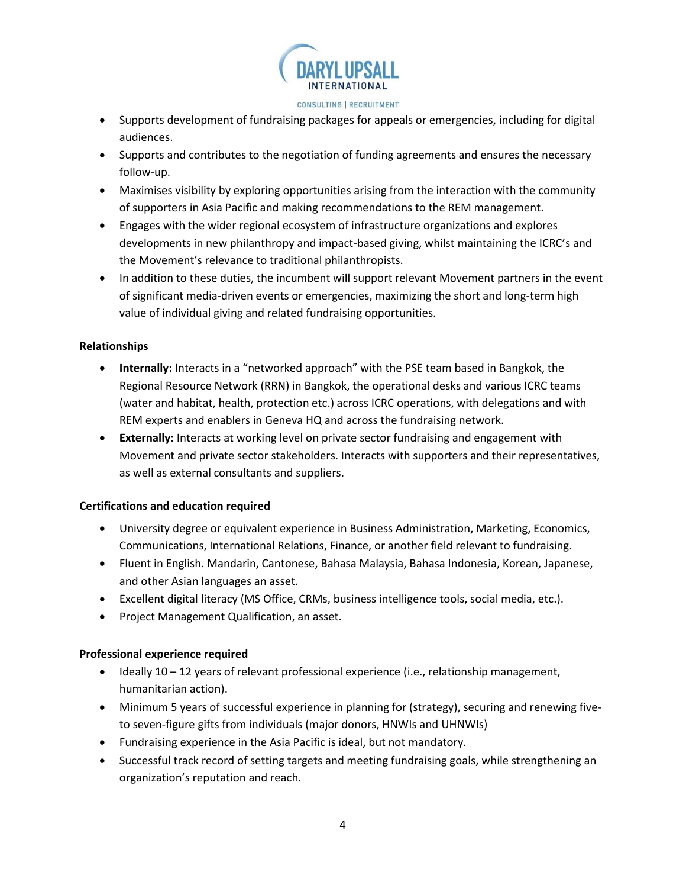

- Supports development of fundraising packages for appeals or emergencies, including for digital audiences.
- Supports and contributes to the negotiation of funding agreements and ensures the necessary follow-up.
- Maximises visibility by exploring opportunities arising from the interaction with the community of supporters in Asia Pacific and making recommendations to the REM management.
- Engages with the wider regional ecosystem of infrastructure organizations and explores developments in new philanthropy and impact-based giving, whilst maintaining the ICRC's and the Movement's relevance to traditional philanthropists.
- In addition to these duties, the incumbent will support relevant Movement partners in the event of significant media-driven events or emergencies, maximizing the short and long-term high value of individual giving and related fundraising opportunities.

# **Relationships**

- **Internally:** Interacts in a "networked approach" with the PSE team based in Bangkok, the Regional Resource Network (RRN) in Bangkok, the operational desks and various ICRC teams (water and habitat, health, protection etc.) across ICRC operations, with delegations and with REM experts and enablers in Geneva HQ and across the fundraising network.
- **Externally:** Interacts at working level on private sector fundraising and engagement with Movement and private sector stakeholders. Interacts with supporters and their representatives, as well as external consultants and suppliers.

# **Certifications and education required**

- University degree or equivalent experience in Business Administration, Marketing, Economics, Communications, International Relations, Finance, or another field relevant to fundraising.
- Fluent in English. Mandarin, Cantonese, Bahasa Malaysia, Bahasa Indonesia, Korean, Japanese, and other Asian languages an asset.
- Excellent digital literacy (MS Office, CRMs, business intelligence tools, social media, etc.).
- Project Management Qualification, an asset.

# **Professional experience required**

- Ideally 10 12 years of relevant professional experience (i.e., relationship management, humanitarian action).
- Minimum 5 years of successful experience in planning for (strategy), securing and renewing fiveto seven-figure gifts from individuals (major donors, HNWIs and UHNWIs)
- Fundraising experience in the Asia Pacific is ideal, but not mandatory.
- Successful track record of setting targets and meeting fundraising goals, while strengthening an organization's reputation and reach.